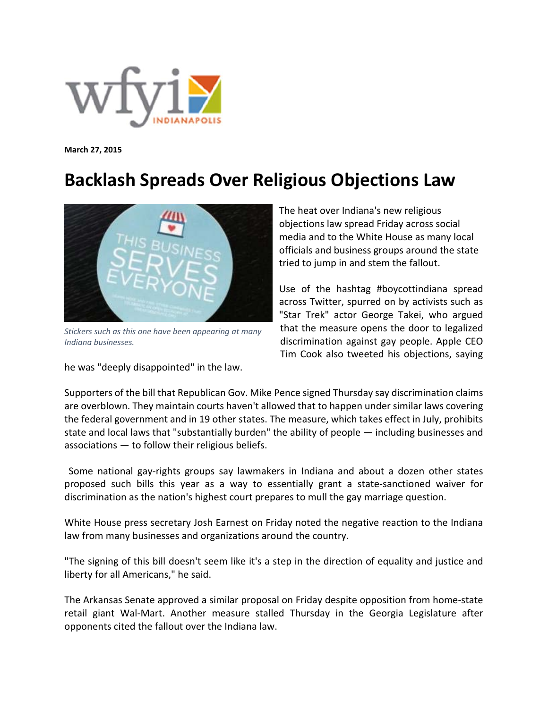

**March 27, 2015**

## **Backlash Spreads Over Religious Objections Law**



*Stickers such as this one have been appearing at many Indiana businesses.*

he was "deeply disappointed" in the law.

The heat over Indiana's new religious objections law spread Friday across social media and to the White House as many local officials and business groups around the state tried to jump in and stem the fallout.

Use of the hashtag #boycottindiana spread across Twitter, spurred on by activists such as "Star Trek" actor George Takei, who argued that the measure opens the door to legalized discrimination against gay people. Apple CEO Tim Cook also tweeted his objections, saying

Supporters of the bill that Republican Gov. Mike Pence signed Thursday say discrimination claims are overblown. They maintain courts haven't allowed that to happen under similar laws covering the federal government and in 19 other states. The measure, which takes effect in July, prohibits state and local laws that "substantially burden" the ability of people — including businesses and associations — to follow their religious beliefs.

Some national gay-rights groups say lawmakers in Indiana and about a dozen other states proposed such bills this year as a way to essentially grant a state‐sanctioned waiver for discrimination as the nation's highest court prepares to mull the gay marriage question.

White House press secretary Josh Earnest on Friday noted the negative reaction to the Indiana law from many businesses and organizations around the country.

"The signing of this bill doesn't seem like it's a step in the direction of equality and justice and liberty for all Americans," he said.

The Arkansas Senate approved a similar proposal on Friday despite opposition from home‐state retail giant Wal‐Mart. Another measure stalled Thursday in the Georgia Legislature after opponents cited the fallout over the Indiana law.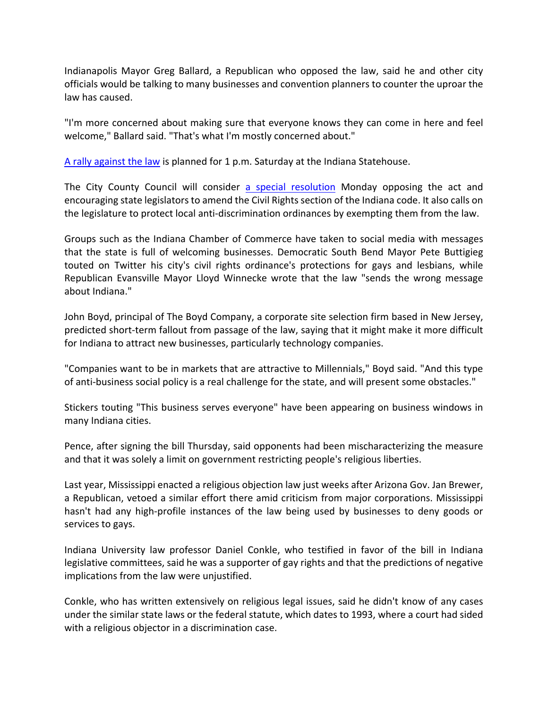Indianapolis Mayor Greg Ballard, a Republican who opposed the law, said he and other city officials would be talking to many businesses and convention planners to counter the uproar the law has caused.

"I'm more concerned about making sure that everyone knows they can come in here and feel welcome," Ballard said. "That's what I'm mostly concerned about."

A rally against the law is planned for 1 p.m. Saturday at the Indiana Statehouse.

The City County Council will consider a special resolution Monday opposing the act and encouraging state legislators to amend the Civil Rights section of the Indiana code. It also calls on the legislature to protect local anti‐discrimination ordinances by exempting them from the law.

Groups such as the Indiana Chamber of Commerce have taken to social media with messages that the state is full of welcoming businesses. Democratic South Bend Mayor Pete Buttigieg touted on Twitter his city's civil rights ordinance's protections for gays and lesbians, while Republican Evansville Mayor Lloyd Winnecke wrote that the law "sends the wrong message about Indiana."

John Boyd, principal of The Boyd Company, a corporate site selection firm based in New Jersey, predicted short‐term fallout from passage of the law, saying that it might make it more difficult for Indiana to attract new businesses, particularly technology companies.

"Companies want to be in markets that are attractive to Millennials," Boyd said. "And this type of anti‐business social policy is a real challenge for the state, and will present some obstacles."

Stickers touting "This business serves everyone" have been appearing on business windows in many Indiana cities.

Pence, after signing the bill Thursday, said opponents had been mischaracterizing the measure and that it was solely a limit on government restricting people's religious liberties.

Last year, Mississippi enacted a religious objection law just weeks after Arizona Gov. Jan Brewer, a Republican, vetoed a similar effort there amid criticism from major corporations. Mississippi hasn't had any high-profile instances of the law being used by businesses to deny goods or services to gays.

Indiana University law professor Daniel Conkle, who testified in favor of the bill in Indiana legislative committees, said he was a supporter of gay rights and that the predictions of negative implications from the law were unjustified.

Conkle, who has written extensively on religious legal issues, said he didn't know of any cases under the similar state laws or the federal statute, which dates to 1993, where a court had sided with a religious objector in a discrimination case.